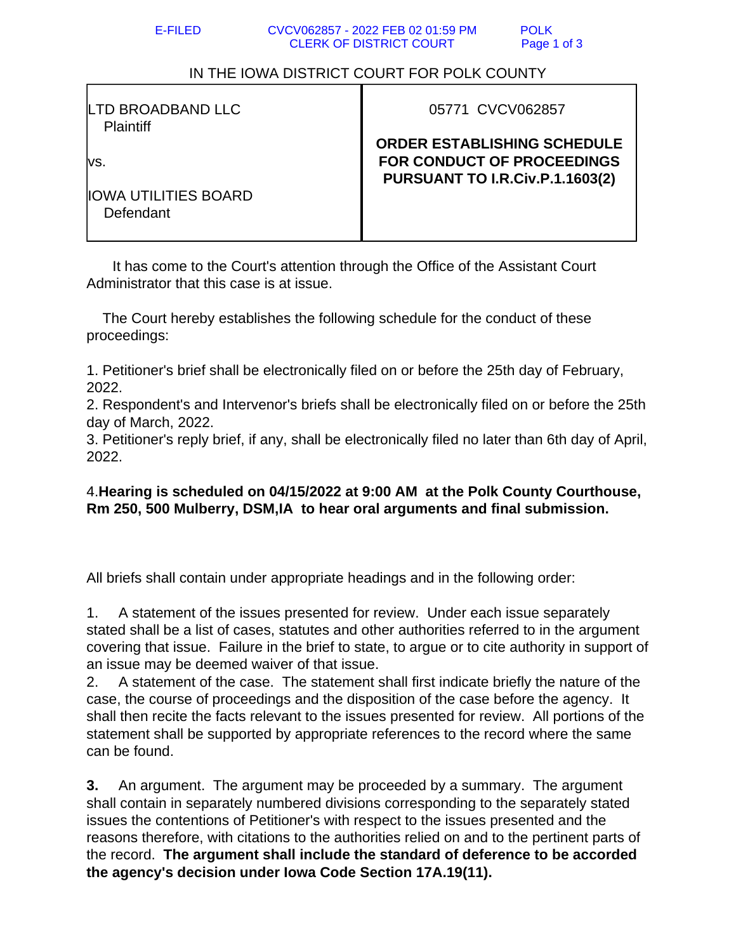## IN THE IOWA DISTRICT COURT FOR POLK COUNTY

| LTD BROADBAND LLC |  |
|-------------------|--|
| <b>Plaintiff</b>  |  |

vs.

05771 CVCV062857

**ORDER ESTABLISHING SCHEDULE FOR CONDUCT OF PROCEEDINGS PURSUANT TO I.R.Civ.P.1.1603(2)**

IOWA UTILITIES BOARD Defendant

 It has come to the Court's attention through the Office of the Assistant Court Administrator that this case is at issue.

 The Court hereby establishes the following schedule for the conduct of these proceedings:

1. Petitioner's brief shall be electronically filed on or before the 25th day of February, 2022.

2. Respondent's and Intervenor's briefs shall be electronically filed on or before the 25th day of March, 2022.

3. Petitioner's reply brief, if any, shall be electronically filed no later than 6th day of April, 2022.

## 4.**Hearing is scheduled on 04/15/2022 at 9:00 AM at the Polk County Courthouse, Rm 250, 500 Mulberry, DSM,IA to hear oral arguments and final submission.**

All briefs shall contain under appropriate headings and in the following order:

1. A statement of the issues presented for review. Under each issue separately stated shall be a list of cases, statutes and other authorities referred to in the argument covering that issue. Failure in the brief to state, to argue or to cite authority in support of an issue may be deemed waiver of that issue.

2. A statement of the case. The statement shall first indicate briefly the nature of the case, the course of proceedings and the disposition of the case before the agency. It shall then recite the facts relevant to the issues presented for review. All portions of the statement shall be supported by appropriate references to the record where the same can be found.

**3.** An argument. The argument may be proceeded by a summary. The argument shall contain in separately numbered divisions corresponding to the separately stated issues the contentions of Petitioner's with respect to the issues presented and the reasons therefore, with citations to the authorities relied on and to the pertinent parts of the record. **The argument shall include the standard of deference to be accorded the agency's decision under Iowa Code Section 17A.19(11).**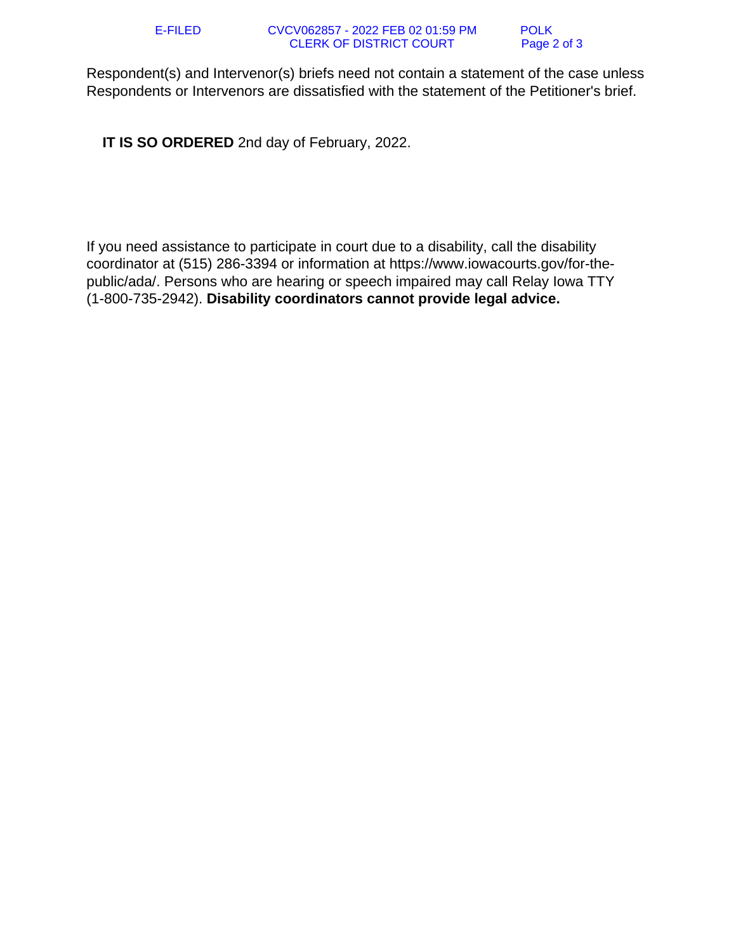Respondent(s) and Intervenor(s) briefs need not contain a statement of the case unless Respondents or Intervenors are dissatisfied with the statement of the Petitioner's brief.

 **IT IS SO ORDERED** 2nd day of February, 2022.

If you need assistance to participate in court due to a disability, call the disability coordinator at (515) 286-3394 or information at https://www.iowacourts.gov/for-thepublic/ada/. Persons who are hearing or speech impaired may call Relay Iowa TTY (1-800-735-2942). **Disability coordinators cannot provide legal advice.**